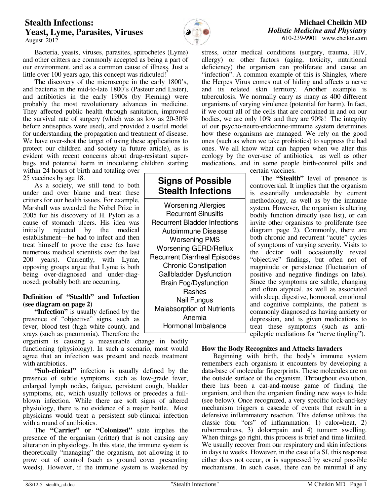# **Stealth Infections: Yeast, Lyme, Parasites, Viruses**  August 2012



**Signs of Possible Stealth Infections** 

Worsening Allergies Recurrent Sinusitis Recurrent Bladder Infections Autoimmune Disease Worsening PMS Worsening GERD/Reflux Recurrent Diarrheal Episodes Chronic Constipation Gallbladder Dysfunction Brain Fog/Dysfunction Rashes Nail Fungus Malabsorption of Nutrients Anemia Hormonal Imbalance

**Michael Cheikin MD** *Holistic Medicine and Physiatry* 610-239-9901 www.cheikin.com

 Bacteria, yeasts, viruses, parasites, spirochetes (Lyme) and other critters are commonly accepted as being a part of our environment, and as a common cause of illness. Just a little over 100 years ago, this concept was ridiculed! $2^2$ 

 The discovery of the microscope in the early 1800's, and bacteria in the mid-to-late 1800's (Pasteur and Lister), and antibiotics in the early 1900s (by Fleming) were probably the most revolutionary advances in medicine. They affected public health through sanitation, improved the survival rate of surgery (which was as low as 20-30% before antiseptics were used), and provided a useful model for understanding the propagation and treatment of disease. We have over-shot the target of using these applications to protect our children and society (a future article), as is evident with recent concerns about drug-resistant superbugs and potential harm in inoculating children starting

within 24 hours of birth and totaling over 25 vaccines by age 18.

 As a society, we still tend to both under and over blame and treat these critters for our health issues. For example, Marshall was awarded the Nobel Prize in 2005 for his discovery of H. Pylori as a cause of stomach ulcers. His idea was initially rejected by the medical establishment—he had to infect and then treat himself to prove the case (as have numerous medical scientists over the last 200 years). Currently, with Lyme, opposing groups argue that Lyme is both being over-diagnosed and under-diagnosed; probably both are occurring.

## **Definition of "Stealth" and Infection (see diagram on page 2)**

**"Infection"** is usually defined by the presence of "objective" signs, such as fever, blood test (high white count), and xrays (such as pneumonia). Therefore the

organism is causing a measurable change in bodily functioning (physiology). In such a scenario, most would agree that an infection was present and needs treatment with antibiotics.

**"Sub-clinical"** infection is usually defined by the presence of subtle symptoms, such as low-grade fever, enlarged lymph nodes, fatigue, persistent cough, bladder symptoms, etc, which usually follows or precedes a fullblown infection. While there are soft signs of altered physiology, there is no evidence of a major battle. Most physicians would treat a persistent sub-clinical infection with a round of antibiotics.

 The **"Carrier" or "Colonized"** state implies the presence of the organism (critter) that is not causing any alteration in physiology. In this state, the immune system is theoretically "managing" the organism, not allowing it to grow out of control (such as ground cover presenting weeds). However, if the immune system is weakened by

stress, other medical conditions (surgery, trauma, HIV, allergy) or other factors (aging, toxicity, nutritional deficiency) the organism can proliferate and cause an "infection". A common example of this is Shingles, where the Herpes Virus comes out of hiding and affects a nerve and its related skin territory. Another example is tuberculosis. We normally carry as many as 400 different organisms of varying virulence (potential for harm). In fact, if we count all of the cells that are contained in and on our bodies, we are only 10% and they are 90%! The integrity of our psycho-neuro-endocrine-immune system determines how these organisms are managed. We rely on the good ones (such as when we take probiotics) to suppress the bad ones. We all know what can happen when we alter this ecology by the over-use of antibiotics, as well as other medications, and in some people birth-control pills and certain vaccines.

> The **"Stealth"** level of presence is controversial. It implies that the organism is essentially undetectable by current methodology, as well as by the immune system. However, the organism is altering bodily function directly (see list), or can invite other organisms to proliferate (see diagram page 2). Commonly, there are both chronic and recurrent "acute" cycles of symptoms of varying severity. Visits to the doctor will occasionally reveal "objective" findings, but often not of magnitude or persistence (fluctuation of positive and negative findings on labs). Since the symptoms are subtle, changing and often atypical, as well as associated with sleep, digestive, hormonal, emotional and cognitive complaints, the patient is commonly diagnosed as having anxiety or depression, and is given medications to treat these symptoms (such as anti-

epileptic mediations for "nerve tingling").

## **How the Body Recognizes and Attacks Invaders**

 Beginning with birth, the body's immune system remembers each organism it encounters by developing a data-base of molecular fingerprints. These molecules are on the outside surface of the organism. Throughout evolution, there has been a cat-and-mouse game of finding the organism, and then the organism finding new ways to hide (see below). Once recognized, a very specific lock-and-key mechanism triggers a cascade of events that result in a defensive inflammatory reaction. This defense utilizes the classic four "ors" of inflammation: 1) calor=heat, 2) rubor=redness, 3) dolor=pain and 4) tumor= swelling. When things go right, this process is brief and time limited. We usually recover from our respiratory and skin infections in days to weeks. However, in the case of a SI, this response either does not occur, or is suppressed by several possible mechanisms. In such cases, there can be minimal if any